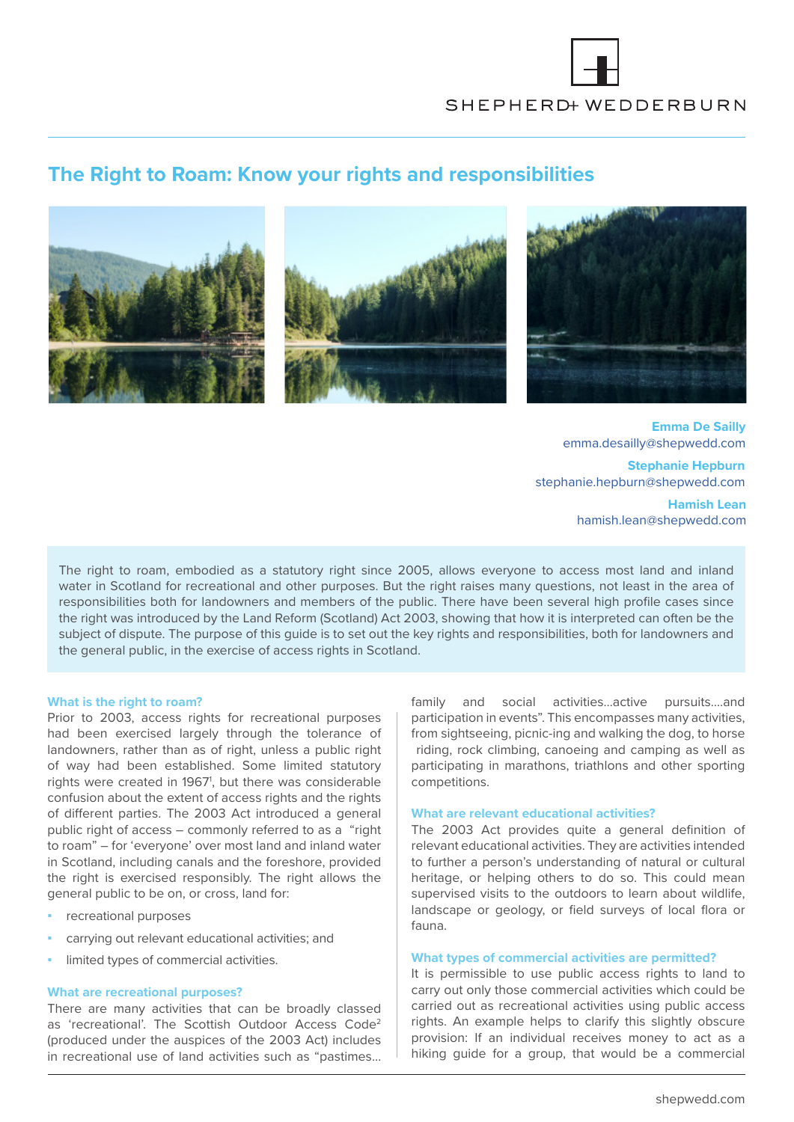

# **The Right to Roam: Know your rights and responsibilities**







**Emma De Sailly** emma.desailly@shepwedd.com

**Stephanie Hepburn** stephanie.hepburn@shepwedd.com

> **Hamish Lean** hamish.lean@shepwedd.com

The right to roam, embodied as a statutory right since 2005, allows everyone to access most land and inland water in Scotland for recreational and other purposes. But the right raises many questions, not least in the area of responsibilities both for landowners and members of the public. There have been several high profile cases since the right was introduced by the Land Reform (Scotland) Act 2003, showing that how it is interpreted can often be the subject of dispute. The purpose of this guide is to set out the key rights and responsibilities, both for landowners and the general public, in the exercise of access rights in Scotland.

## **What is the right to roam?**

Prior to 2003, access rights for recreational purposes had been exercised largely through the tolerance of landowners, rather than as of right, unless a public right of way had been established. Some limited statutory rights were created in 1967<sup>1</sup>, but there was considerable confusion about the extent of access rights and the rights of different parties. The 2003 Act introduced a general public right of access – commonly referred to as a "right to roam" – for 'everyone' over most land and inland water in Scotland, including canals and the foreshore, provided the right is exercised responsibly. The right allows the general public to be on, or cross, land for:

- **▪** recreational purposes
- **▪** carrying out relevant educational activities; and
- limited types of commercial activities.

## **What are recreational purposes?**

There are many activities that can be broadly classed as 'recreational'. The Scottish Outdoor Access Code2 (produced under the auspices of the 2003 Act) includes in recreational use of land activities such as "pastimes… family and social activities…active pursuits….and participation in events". This encompasses many activities, from sightseeing, picnic-ing and walking the dog, to horse riding, rock climbing, canoeing and camping as well as participating in marathons, triathlons and other sporting competitions.

# **What are relevant educational activities?**

The 2003 Act provides quite a general definition of relevant educational activities. They are activities intended to further a person's understanding of natural or cultural heritage, or helping others to do so. This could mean supervised visits to the outdoors to learn about wildlife, landscape or geology, or field surveys of local flora or fauna.

## **What types of commercial activities are permitted?**

It is permissible to use public access rights to land to carry out only those commercial activities which could be carried out as recreational activities using public access rights. An example helps to clarify this slightly obscure provision: If an individual receives money to act as a hiking guide for a group, that would be a commercial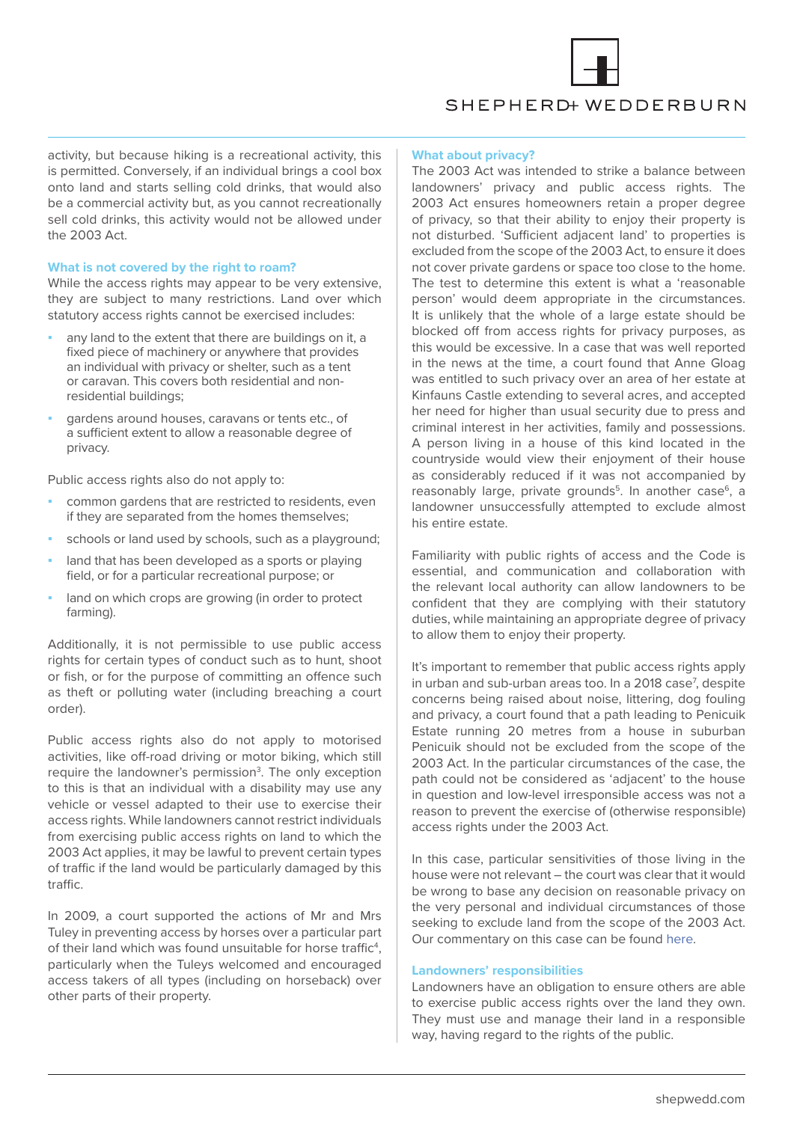

# SHEPHERD+ WEDDERBURN

activity, but because hiking is a recreational activity, this is permitted. Conversely, if an individual brings a cool box onto land and starts selling cold drinks, that would also be a commercial activity but, as you cannot recreationally sell cold drinks, this activity would not be allowed under the 2003 Act.

## **What is not covered by the right to roam?**

While the access rights may appear to be very extensive, they are subject to many restrictions. Land over which statutory access rights cannot be exercised includes:

- any land to the extent that there are buildings on it, a fixed piece of machinery or anywhere that provides an individual with privacy or shelter, such as a tent or caravan. This covers both residential and nonresidential buildings;
- gardens around houses, caravans or tents etc., of a sufficient extent to allow a reasonable degree of privacy.

Public access rights also do not apply to:

- common gardens that are restricted to residents, even if they are separated from the homes themselves;
- schools or land used by schools, such as a playground;
- land that has been developed as a sports or playing field, or for a particular recreational purpose; or
- land on which crops are growing (in order to protect farming).

Additionally, it is not permissible to use public access rights for certain types of conduct such as to hunt, shoot or fish, or for the purpose of committing an offence such as theft or polluting water (including breaching a court order).

Public access rights also do not apply to motorised activities, like off-road driving or motor biking, which still require the landowner's permission<sup>3</sup>. The only exception to this is that an individual with a disability may use any vehicle or vessel adapted to their use to exercise their access rights. While landowners cannot restrict individuals from exercising public access rights on land to which the 2003 Act applies, it may be lawful to prevent certain types of traffic if the land would be particularly damaged by this traffic.

In 2009, a court supported the actions of Mr and Mrs Tuley in preventing access by horses over a particular part of their land which was found unsuitable for horse traffic<sup>4</sup>, particularly when the Tuleys welcomed and encouraged access takers of all types (including on horseback) over other parts of their property.

## **What about privacy?**

The 2003 Act was intended to strike a balance between landowners' privacy and public access rights. The 2003 Act ensures homeowners retain a proper degree of privacy, so that their ability to enjoy their property is not disturbed. 'Sufficient adjacent land' to properties is excluded from the scope of the 2003 Act, to ensure it does not cover private gardens or space too close to the home. The test to determine this extent is what a 'reasonable person' would deem appropriate in the circumstances. It is unlikely that the whole of a large estate should be blocked off from access rights for privacy purposes, as this would be excessive. In a case that was well reported in the news at the time, a court found that Anne Gloag was entitled to such privacy over an area of her estate at Kinfauns Castle extending to several acres, and accepted her need for higher than usual security due to press and criminal interest in her activities, family and possessions. A person living in a house of this kind located in the countryside would view their enjoyment of their house as considerably reduced if it was not accompanied by reasonably large, private grounds<sup>5</sup>. In another case<sup>6</sup>, a landowner unsuccessfully attempted to exclude almost his entire estate.

Familiarity with public rights of access and the Code is essential, and communication and collaboration with the relevant local authority can allow landowners to be confident that they are complying with their statutory duties, while maintaining an appropriate degree of privacy to allow them to enjoy their property.

It's important to remember that public access rights apply in urban and sub-urban areas too. In a 2018 case<sup>7</sup>, despite concerns being raised about noise, littering, dog fouling and privacy, a court found that a path leading to Penicuik Estate running 20 metres from a house in suburban Penicuik should not be excluded from the scope of the 2003 Act. In the particular circumstances of the case, the path could not be considered as 'adjacent' to the house in question and low-level irresponsible access was not a reason to prevent the exercise of (otherwise responsible) access rights under the 2003 Act.

In this case, particular sensitivities of those living in the house were not relevant – the court was clear that it would be wrong to base any decision on reasonable privacy on the very personal and individual circumstances of those seeking to exclude land from the scope of the 2003 Act. Our commentary on this case can be found [here.](https://shepwedd.com/knowledge/rights-access-vs-right-privacy)

## **Landowners' responsibilities**

Landowners have an obligation to ensure others are able to exercise public access rights over the land they own. They must use and manage their land in a responsible way, having regard to the rights of the public.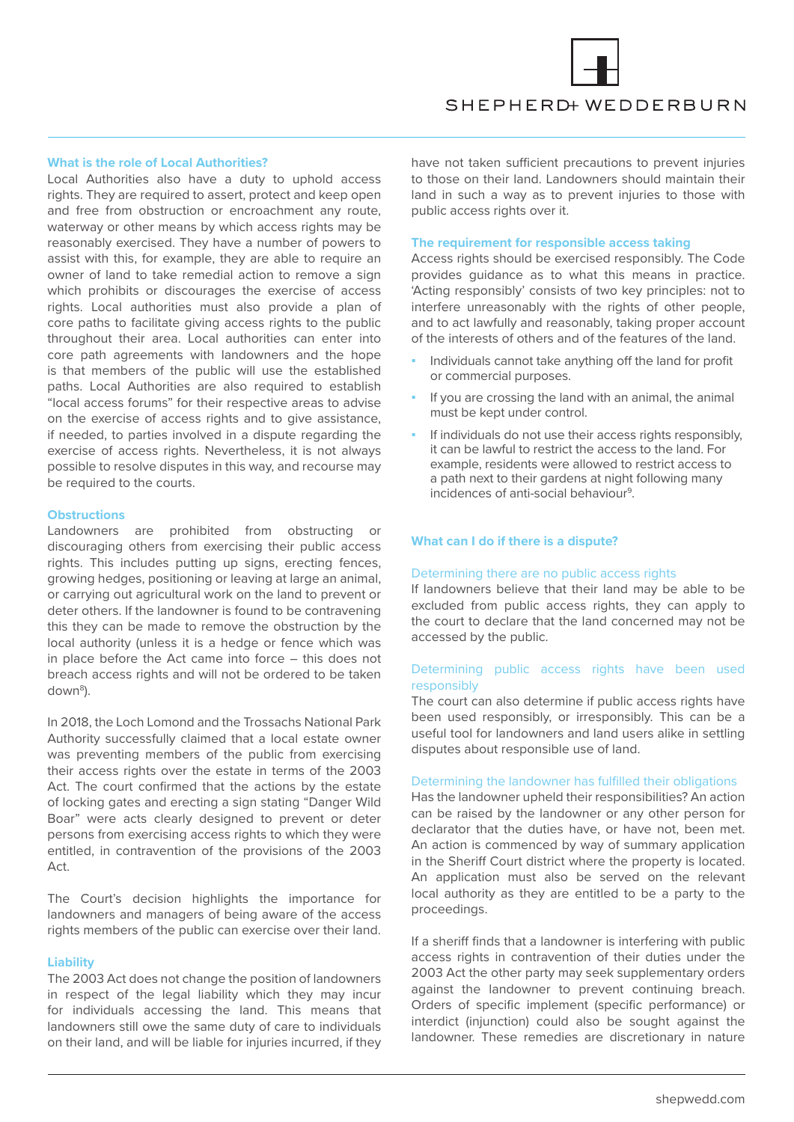

# SHEPHERD+ WEDDERBURN

# **What is the role of Local Authorities?**

Local Authorities also have a duty to uphold access rights. They are required to assert, protect and keep open and free from obstruction or encroachment any route, waterway or other means by which access rights may be reasonably exercised. They have a number of powers to assist with this, for example, they are able to require an owner of land to take remedial action to remove a sign which prohibits or discourages the exercise of access rights. Local authorities must also provide a plan of core paths to facilitate giving access rights to the public throughout their area. Local authorities can enter into core path agreements with landowners and the hope is that members of the public will use the established paths. Local Authorities are also required to establish "local access forums" for their respective areas to advise on the exercise of access rights and to give assistance, if needed, to parties involved in a dispute regarding the exercise of access rights. Nevertheless, it is not always possible to resolve disputes in this way, and recourse may be required to the courts.

## **Obstructions**

Landowners are prohibited from obstructing or discouraging others from exercising their public access rights. This includes putting up signs, erecting fences, growing hedges, positioning or leaving at large an animal, or carrying out agricultural work on the land to prevent or deter others. If the landowner is found to be contravening this they can be made to remove the obstruction by the local authority (unless it is a hedge or fence which was in place before the Act came into force – this does not breach access rights and will not be ordered to be taken down<sup>8</sup>).

In 2018, the Loch Lomond and the Trossachs National Park Authority successfully claimed that a local estate owner was preventing members of the public from exercising their access rights over the estate in terms of the 2003 Act. The court confirmed that the actions by the estate of locking gates and erecting a sign stating "Danger Wild Boar" were acts clearly designed to prevent or deter persons from exercising access rights to which they were entitled, in contravention of the provisions of the 2003 Act.

The Court's decision highlights the importance for landowners and managers of being aware of the access rights members of the public can exercise over their land.

### **Liability**

The 2003 Act does not change the position of landowners in respect of the legal liability which they may incur for individuals accessing the land. This means that landowners still owe the same duty of care to individuals on their land, and will be liable for injuries incurred, if they

have not taken sufficient precautions to prevent injuries to those on their land. Landowners should maintain their land in such a way as to prevent injuries to those with public access rights over it.

#### **The requirement for responsible access taking**

Access rights should be exercised responsibly. The Code provides guidance as to what this means in practice. 'Acting responsibly' consists of two key principles: not to interfere unreasonably with the rights of other people, and to act lawfully and reasonably, taking proper account of the interests of others and of the features of the land.

- **▪** Individuals cannot take anything off the land for profit or commercial purposes.
- **▪** If you are crossing the land with an animal, the animal must be kept under control.
- If individuals do not use their access rights responsibly, it can be lawful to restrict the access to the land. For example, residents were allowed to restrict access to a path next to their gardens at night following many incidences of anti-social behaviour<sup>9</sup>.

## **What can I do if there is a dispute?**

### Determining there are no public access rights

If landowners believe that their land may be able to be excluded from public access rights, they can apply to the court to declare that the land concerned may not be accessed by the public.

# Determining public access rights have been used responsibly

The court can also determine if public access rights have been used responsibly, or irresponsibly. This can be a useful tool for landowners and land users alike in settling disputes about responsible use of land.

## Determining the landowner has fulfilled their obligations

Has the landowner upheld their responsibilities? An action can be raised by the landowner or any other person for declarator that the duties have, or have not, been met. An action is commenced by way of summary application in the Sheriff Court district where the property is located. An application must also be served on the relevant local authority as they are entitled to be a party to the proceedings.

If a sheriff finds that a landowner is interfering with public access rights in contravention of their duties under the 2003 Act the other party may seek supplementary orders against the landowner to prevent continuing breach. Orders of specific implement (specific performance) or interdict (injunction) could also be sought against the landowner. These remedies are discretionary in nature